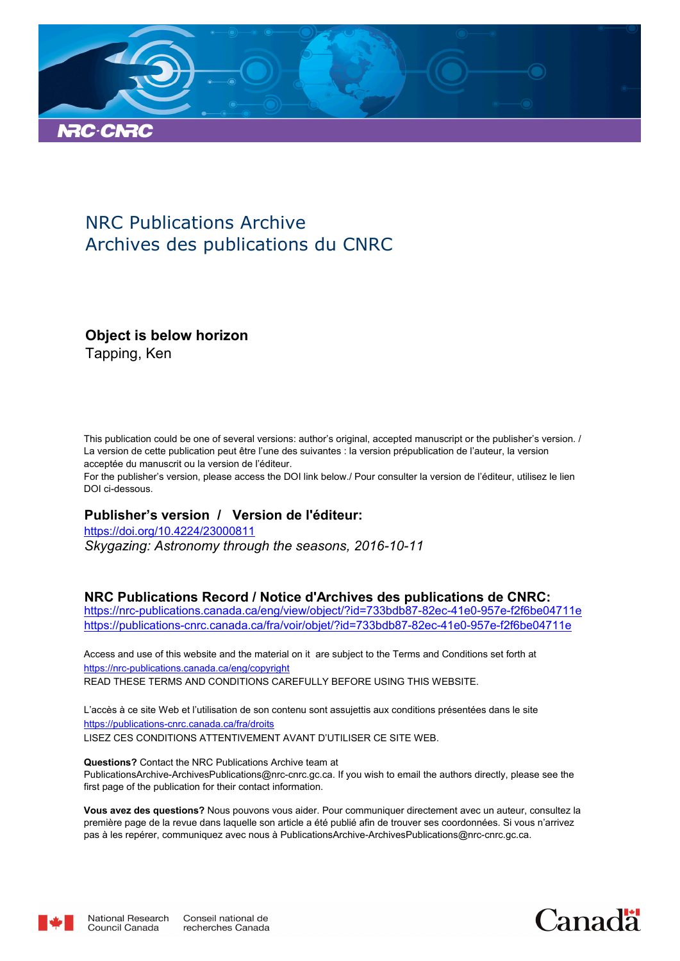

## NRC Publications Archive Archives des publications du CNRC

### **Object is below horizon**

Tapping, Ken

This publication could be one of several versions: author's original, accepted manuscript or the publisher's version. / La version de cette publication peut être l'une des suivantes : la version prépublication de l'auteur, la version acceptée du manuscrit ou la version de l'éditeur.

For the publisher's version, please access the DOI link below./ Pour consulter la version de l'éditeur, utilisez le lien DOI ci-dessous.

#### **Publisher's version / Version de l'éditeur:**

*Skygazing: Astronomy through the seasons, 2016-10-11* https://doi.org/10.4224/23000811

#### **NRC Publications Record / Notice d'Archives des publications de CNRC:**

https://nrc-publications.canada.ca/eng/view/object/?id=733bdb87-82ec-41e0-957e-f2f6be04711e https://publications-cnrc.canada.ca/fra/voir/objet/?id=733bdb87-82ec-41e0-957e-f2f6be04711e

READ THESE TERMS AND CONDITIONS CAREFULLY BEFORE USING THIS WEBSITE. https://nrc-publications.canada.ca/eng/copyright Access and use of this website and the material on it are subject to the Terms and Conditions set forth at

https://publications-cnrc.canada.ca/fra/droits L'accès à ce site Web et l'utilisation de son contenu sont assujettis aux conditions présentées dans le site LISEZ CES CONDITIONS ATTENTIVEMENT AVANT D'UTILISER CE SITE WEB.

**Questions?** Contact the NRC Publications Archive team at PublicationsArchive-ArchivesPublications@nrc-cnrc.gc.ca. If you wish to email the authors directly, please see the first page of the publication for their contact information.

**Vous avez des questions?** Nous pouvons vous aider. Pour communiquer directement avec un auteur, consultez la première page de la revue dans laquelle son article a été publié afin de trouver ses coordonnées. Si vous n'arrivez pas à les repérer, communiquez avec nous à PublicationsArchive-ArchivesPublications@nrc-cnrc.gc.ca.